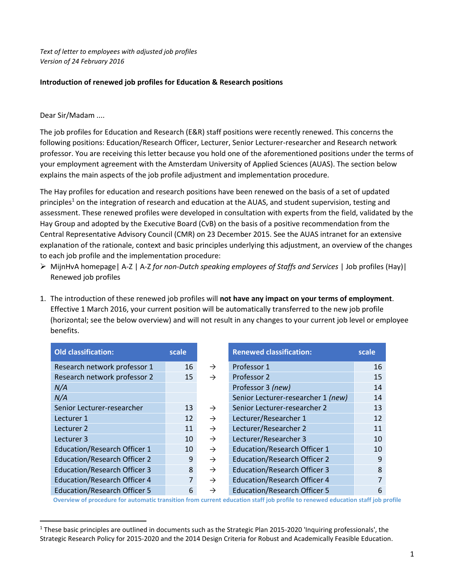*Text of letter to employees with adjusted job profiles Version of 24 February 2016*

## **Introduction of renewed job profiles for Education & Research positions**

## Dear Sir/Madam ....

 $\overline{a}$ 

The job profiles for Education and Research (E&R) staff positions were recently renewed. This concerns the following positions: Education/Research Officer, Lecturer, Senior Lecturer-researcher and Research network professor. You are receiving this letter because you hold one of the aforementioned positions under the terms of your employment agreement with the Amsterdam University of Applied Sciences (AUAS). The section below explains the main aspects of the job profile adjustment and implementation procedure.

The Hay profiles for education and research positions have been renewed on the basis of a set of updated principles<sup>1</sup> on the integration of research and education at the AUAS, and student supervision, testing and assessment. These renewed profiles were developed in consultation with experts from the field, validated by the Hay Group and adopted by the Executive Board (CvB) on the basis of a positive recommendation from the Central Representative Advisory Council (CMR) on 23 December 2015. See the AUAS intranet for an extensive explanation of the rationale, context and basic principles underlying this adjustment, an overview of the changes to each job profile and the implementation procedure:

- MijnHvA homepage| A-Z | A-Z *for non-Dutch speaking employees of Staffs and Services* | Job profiles (Hay)| Renewed job profiles
- 1. The introduction of these renewed job profiles will **not have any impact on your terms of employment**. Effective 1 March 2016, your current position will be automatically transferred to the new job profile (horizontal; see the below overview) and will not result in any changes to your current job level or employee benefits.

| <b>Old classification:</b>          | scale          |               | <b>Renewed classification:</b>      | scale |
|-------------------------------------|----------------|---------------|-------------------------------------|-------|
| Research network professor 1        | 16             | $\rightarrow$ | Professor 1                         | 16    |
| Research network professor 2        | 15             | $\rightarrow$ | Professor 2                         | 15    |
| N/A                                 |                |               | Professor 3 (new)                   | 14    |
| N/A                                 |                |               | Senior Lecturer-researcher 1 (new)  | 14    |
| Senior Lecturer-researcher          | 13             | $\rightarrow$ | Senior Lecturer-researcher 2        | 13    |
| Lecturer 1                          | 12             | $\rightarrow$ | Lecturer/Researcher 1               | 12    |
| Lecturer 2                          | 11             | $\rightarrow$ | Lecturer/Researcher 2               | 11    |
| Lecturer 3                          | 10             | $\rightarrow$ | Lecturer/Researcher 3               | 10    |
| <b>Education/Research Officer 1</b> | 10             | $\rightarrow$ | <b>Education/Research Officer 1</b> | 10    |
| <b>Education/Research Officer 2</b> | 9              | $\rightarrow$ | <b>Education/Research Officer 2</b> | 9     |
| <b>Education/Research Officer 3</b> | 8              | $\rightarrow$ | <b>Education/Research Officer 3</b> | 8     |
| <b>Education/Research Officer 4</b> | $\overline{7}$ | $\rightarrow$ | <b>Education/Research Officer 4</b> | 7     |
| <b>Education/Research Officer 5</b> | 6              | $\rightarrow$ | <b>Education/Research Officer 5</b> | 6     |

**Overview of procedure for automatic transition from current education staff job profile to renewed education staff job profile**

<sup>1</sup> These basic principles are outlined in documents such as the Strategic Plan 2015-2020 'Inquiring professionals', the Strategic Research Policy for 2015-2020 and the 2014 Design Criteria for Robust and Academically Feasible Education.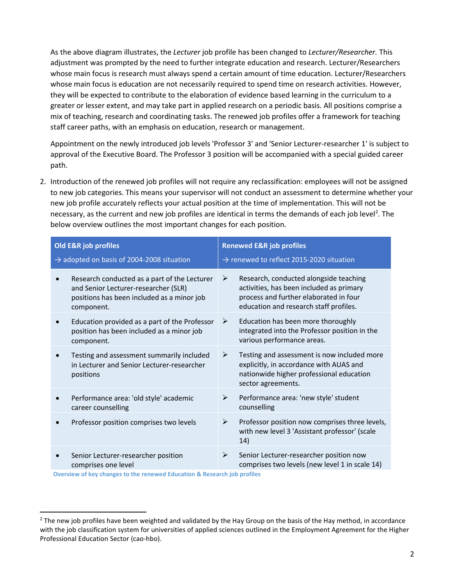As the above diagram illustrates, the *Lecturer* job profile has been changed to *Lecturer/Researcher.* This adjustment was prompted by the need to further integrate education and research. Lecturer/Researchers whose main focus is research must always spend a certain amount of time education. Lecturer/Researchers whose main focus is education are not necessarily required to spend time on research activities. However, they will be expected to contribute to the elaboration of evidence based learning in the curriculum to a greater or lesser extent, and may take part in applied research on a periodic basis. All positions comprise a mix of teaching, research and coordinating tasks. The renewed job profiles offer a framework for teaching staff career paths, with an emphasis on education, research or management.

Appointment on the newly introduced job levels 'Professor 3' and 'Senior Lecturer-researcher 1' is subject to approval of the Executive Board. The Professor 3 position will be accompanied with a special guided career path.

2. Introduction of the renewed job profiles will not require any reclassification: employees will not be assigned to new job categories. This means your supervisor will not conduct an assessment to determine whether your new job profile accurately reflects your actual position at the time of implementation. This will not be necessary, as the current and new job profiles are identical in terms the demands of each job level<sup>2</sup>. The below overview outlines the most important changes for each position.

| Old E&R job profiles<br>$\rightarrow$ adopted on basis of 2004-2008 situation |                                                                                                                                                  | <b>Renewed E&amp;R job profiles</b><br>$\rightarrow$ renewed to reflect 2015-2020 situation |                                                                                                                                                                        |  |
|-------------------------------------------------------------------------------|--------------------------------------------------------------------------------------------------------------------------------------------------|---------------------------------------------------------------------------------------------|------------------------------------------------------------------------------------------------------------------------------------------------------------------------|--|
|                                                                               | Research conducted as a part of the Lecturer<br>and Senior Lecturer-researcher (SLR)<br>positions has been included as a minor job<br>component. | ➤                                                                                           | Research, conducted alongside teaching<br>activities, has been included as primary<br>process and further elaborated in four<br>education and research staff profiles. |  |
|                                                                               | Education provided as a part of the Professor<br>position has been included as a minor job<br>component.                                         | ➤                                                                                           | Education has been more thoroughly<br>integrated into the Professor position in the<br>various performance areas.                                                      |  |
|                                                                               | Testing and assessment summarily included<br>in Lecturer and Senior Lecturer-researcher<br>positions                                             | ➤                                                                                           | Testing and assessment is now included more<br>explicitly, in accordance with AUAS and<br>nationwide higher professional education<br>sector agreements.               |  |
|                                                                               | Performance area: 'old style' academic<br>career counselling                                                                                     | ≻                                                                                           | Performance area: 'new style' student<br>counselling                                                                                                                   |  |
|                                                                               | Professor position comprises two levels                                                                                                          | ➤                                                                                           | Professor position now comprises three levels,<br>with new level 3 'Assistant professor' (scale<br>14)                                                                 |  |
|                                                                               | Senior Lecturer-researcher position<br>comprises one level                                                                                       | ➤                                                                                           | Senior Lecturer-researcher position now<br>comprises two levels (new level 1 in scale 14)                                                                              |  |

**Overview of key changes to the renewed Education & Research job profiles**

l

 $<sup>2</sup>$  The new job profiles have been weighted and validated by the Hay Group on the basis of the Hay method, in accordance</sup> with the job classification system for universities of applied sciences outlined in the Employment Agreement for the Higher Professional Education Sector (cao-hbo).